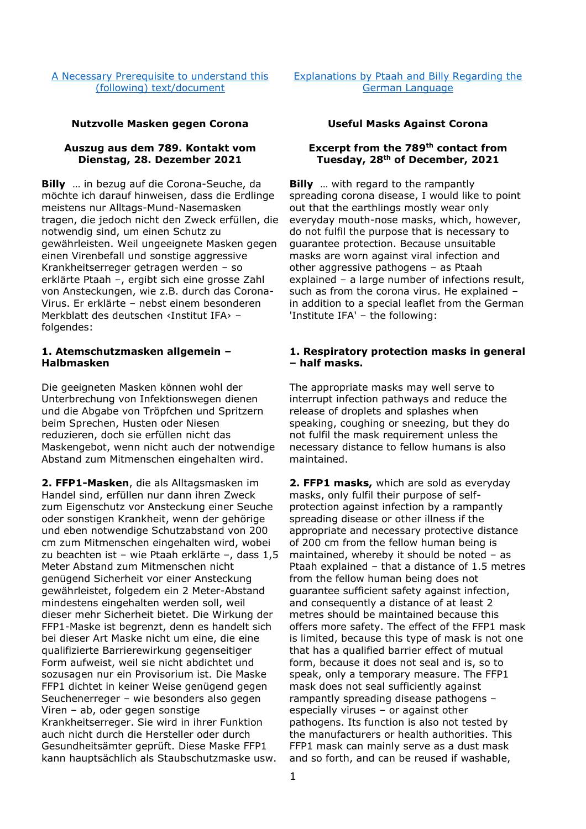[A Necessary Prerequisite to understand this](http://au.figu.org/necessary_prerequisite.html)  [\(following\) text/document](http://au.figu.org/necessary_prerequisite.html)

[Explanations by Ptaah and Billy Regarding the](http://au.figu.org/german_explanations.html)  [German Language](http://au.figu.org/german_explanations.html)

# **Nutzvolle Masken gegen Corona Useful Masks Against Corona**

# **Auszug aus dem 789. Kontakt vom Dienstag, 28. Dezember 2021**

**Billy** … in bezug auf die Corona-Seuche, da möchte ich darauf hinweisen, dass die Erdlinge meistens nur Alltags-Mund-Nasemasken tragen, die jedoch nicht den Zweck erfüllen, die notwendig sind, um einen Schutz zu gewährleisten. Weil ungeeignete Masken gegen einen Virenbefall und sonstige aggressive Krankheitserreger getragen werden – so erklärte Ptaah –, ergibt sich eine grosse Zahl von Ansteckungen, wie z.B. durch das Corona-Virus. Er erklärte – nebst einem besonderen Merkblatt des deutschen ‹Institut IFA› – folgendes:

# **1. Atemschutzmasken allgemein – Halbmasken**

Die geeigneten Masken können wohl der Unterbrechung von Infektionswegen dienen und die Abgabe von Tröpfchen und Spritzern beim Sprechen, Husten oder Niesen reduzieren, doch sie erfüllen nicht das Maskengebot, wenn nicht auch der notwendige Abstand zum Mitmenschen eingehalten wird.

**2. FFP1-Masken**, die als Alltagsmasken im Handel sind, erfüllen nur dann ihren Zweck zum Eigenschutz vor Ansteckung einer Seuche oder sonstigen Krankheit, wenn der gehörige und eben notwendige Schutzabstand von 200 cm zum Mitmenschen eingehalten wird, wobei zu beachten ist – wie Ptaah erklärte –, dass 1,5 Meter Abstand zum Mitmenschen nicht genügend Sicherheit vor einer Ansteckung gewährleistet, folgedem ein 2 Meter-Abstand mindestens eingehalten werden soll, weil dieser mehr Sicherheit bietet. Die Wirkung der FFP1-Maske ist begrenzt, denn es handelt sich bei dieser Art Maske nicht um eine, die eine qualifizierte Barrierewirkung gegenseitiger Form aufweist, weil sie nicht abdichtet und sozusagen nur ein Provisorium ist. Die Maske FFP1 dichtet in keiner Weise genügend gegen Seuchenerreger – wie besonders also gegen Viren – ab, oder gegen sonstige Krankheitserreger. Sie wird in ihrer Funktion auch nicht durch die Hersteller oder durch Gesundheitsämter geprüft. Diese Maske FFP1 kann hauptsächlich als Staubschutzmaske usw.

### **Excerpt from the 789th contact from Tuesday, 28th of December, 2021**

**Billy** ... with regard to the rampantly spreading corona disease, I would like to point out that the earthlings mostly wear only everyday mouth-nose masks, which, however, do not fulfil the purpose that is necessary to guarantee protection. Because unsuitable masks are worn against viral infection and other aggressive pathogens – as Ptaah explained – a large number of infections result, such as from the corona virus. He explained – in addition to a special leaflet from the German 'Institute IFA' – the following:

### **1. Respiratory protection masks in general – half masks.**

The appropriate masks may well serve to interrupt infection pathways and reduce the release of droplets and splashes when speaking, coughing or sneezing, but they do not fulfil the mask requirement unless the necessary distance to fellow humans is also maintained.

**2. FFP1 masks,** which are sold as everyday masks, only fulfil their purpose of selfprotection against infection by a rampantly spreading disease or other illness if the appropriate and necessary protective distance of 200 cm from the fellow human being is maintained, whereby it should be noted – as Ptaah explained – that a distance of 1.5 metres from the fellow human being does not guarantee sufficient safety against infection, and consequently a distance of at least 2 metres should be maintained because this offers more safety. The effect of the FFP1 mask is limited, because this type of mask is not one that has a qualified barrier effect of mutual form, because it does not seal and is, so to speak, only a temporary measure. The FFP1 mask does not seal sufficiently against rampantly spreading disease pathogens – especially viruses – or against other pathogens. Its function is also not tested by the manufacturers or health authorities. This FFP1 mask can mainly serve as a dust mask and so forth, and can be reused if washable,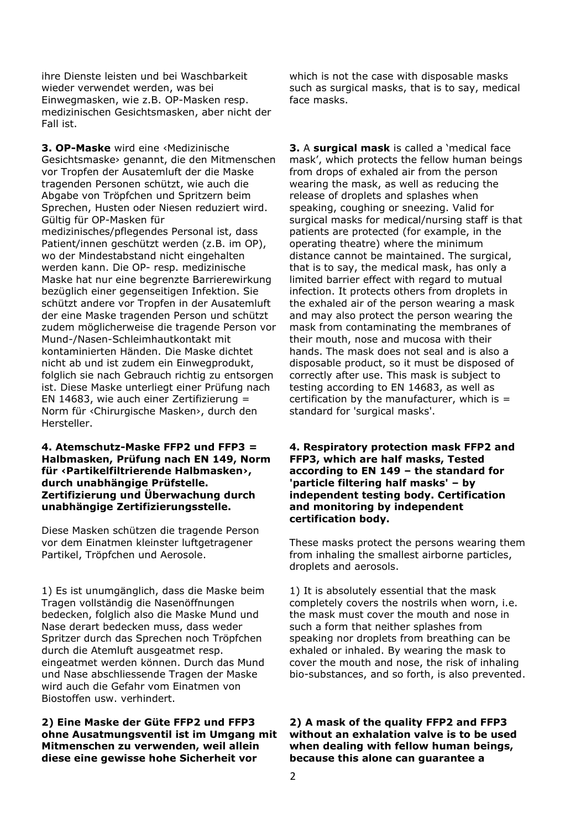ihre Dienste leisten und bei Waschbarkeit wieder verwendet werden, was bei Einwegmasken, wie z.B. OP-Masken resp. medizinischen Gesichtsmasken, aber nicht der Fall ist.

**3. OP-Maske** wird eine ‹Medizinische Gesichtsmaske› genannt, die den Mitmenschen vor Tropfen der Ausatemluft der die Maske tragenden Personen schützt, wie auch die Abgabe von Tröpfchen und Spritzern beim Sprechen, Husten oder Niesen reduziert wird. Gültig für OP-Masken für medizinisches/pflegendes Personal ist, dass Patient/innen geschützt werden (z.B. im OP), wo der Mindestabstand nicht eingehalten werden kann. Die OP- resp. medizinische Maske hat nur eine begrenzte Barrierewirkung bezüglich einer gegenseitigen Infektion. Sie schützt andere vor Tropfen in der Ausatemluft der eine Maske tragenden Person und schützt zudem möglicherweise die tragende Person vor Mund-/Nasen-Schleimhautkontakt mit kontaminierten Händen. Die Maske dichtet nicht ab und ist zudem ein Einwegprodukt, folglich sie nach Gebrauch richtig zu entsorgen ist. Diese Maske unterliegt einer Prüfung nach EN 14683, wie auch einer Zertifizierung = Norm für ‹Chirurgische Masken›, durch den Hersteller.

# **4. Atemschutz-Maske FFP2 und FFP3 = Halbmasken, Prüfung nach EN 149, Norm für ‹Partikelfiltrierende Halbmasken›, durch unabhängige Prüfstelle. Zertifizierung und Überwachung durch unabhängige Zertifizierungsstelle.**

Diese Masken schützen die tragende Person vor dem Einatmen kleinster luftgetragener Partikel, Tröpfchen und Aerosole.

1) Es ist unumgänglich, dass die Maske beim Tragen vollständig die Nasenöffnungen bedecken, folglich also die Maske Mund und Nase derart bedecken muss, dass weder Spritzer durch das Sprechen noch Tröpfchen durch die Atemluft ausgeatmet resp. eingeatmet werden können. Durch das Mund und Nase abschliessende Tragen der Maske wird auch die Gefahr vom Einatmen von Biostoffen usw. verhindert.

**2) Eine Maske der Güte FFP2 und FFP3 ohne Ausatmungsventil ist im Umgang mit Mitmenschen zu verwenden, weil allein diese eine gewisse hohe Sicherheit vor** 

which is not the case with disposable masks such as surgical masks, that is to say, medical face masks.

**3.** A **surgical mask** is called a 'medical face mask', which protects the fellow human beings from drops of exhaled air from the person wearing the mask, as well as reducing the release of droplets and splashes when speaking, coughing or sneezing. Valid for surgical masks for medical/nursing staff is that patients are protected (for example, in the operating theatre) where the minimum distance cannot be maintained. The surgical, that is to say, the medical mask, has only a limited barrier effect with regard to mutual infection. It protects others from droplets in the exhaled air of the person wearing a mask and may also protect the person wearing the mask from contaminating the membranes of their mouth, nose and mucosa with their hands. The mask does not seal and is also a disposable product, so it must be disposed of correctly after use. This mask is subject to testing according to EN 14683, as well as certification by the manufacturer, which is  $=$ standard for 'surgical masks'.

# **4. Respiratory protection mask FFP2 and FFP3, which are half masks, Tested according to EN 149 – the standard for 'particle filtering half masks' – by independent testing body. Certification and monitoring by independent certification body.**

These masks protect the persons wearing them from inhaling the smallest airborne particles, droplets and aerosols.

1) It is absolutely essential that the mask completely covers the nostrils when worn, i.e. the mask must cover the mouth and nose in such a form that neither splashes from speaking nor droplets from breathing can be exhaled or inhaled. By wearing the mask to cover the mouth and nose, the risk of inhaling bio-substances, and so forth, is also prevented.

# **2) A mask of the quality FFP2 and FFP3 without an exhalation valve is to be used when dealing with fellow human beings, because this alone can guarantee a**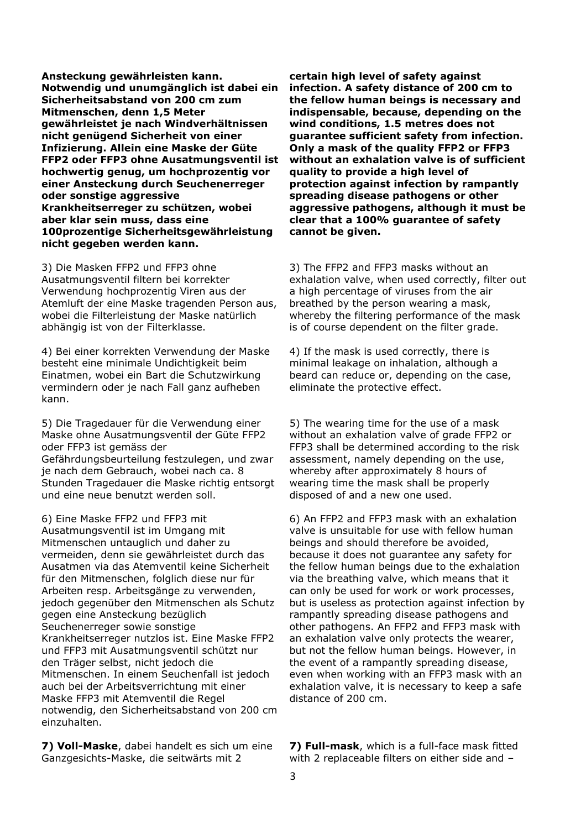**Ansteckung gewährleisten kann. Notwendig und unumgänglich ist dabei ein Sicherheitsabstand von 200 cm zum Mitmenschen, denn 1,5 Meter gewährleistet je nach Windverhältnissen nicht genügend Sicherheit von einer Infizierung. Allein eine Maske der Güte FFP2 oder FFP3 ohne Ausatmungsventil ist hochwertig genug, um hochprozentig vor einer Ansteckung durch Seuchenerreger oder sonstige aggressive Krankheitserreger zu schützen, wobei aber klar sein muss, dass eine 100prozentige Sicherheitsgewährleistung nicht gegeben werden kann.** 

3) Die Masken FFP2 und FFP3 ohne Ausatmungsventil filtern bei korrekter Verwendung hochprozentig Viren aus der Atemluft der eine Maske tragenden Person aus, wobei die Filterleistung der Maske natürlich abhängig ist von der Filterklasse.

4) Bei einer korrekten Verwendung der Maske besteht eine minimale Undichtigkeit beim Einatmen, wobei ein Bart die Schutzwirkung vermindern oder je nach Fall ganz aufheben kann.

5) Die Tragedauer für die Verwendung einer Maske ohne Ausatmungsventil der Güte FFP2 oder FFP3 ist gemäss der Gefährdungsbeurteilung festzulegen, und zwar je nach dem Gebrauch, wobei nach ca. 8 Stunden Tragedauer die Maske richtig entsorgt und eine neue benutzt werden soll.

6) Eine Maske FFP2 und FFP3 mit Ausatmungsventil ist im Umgang mit Mitmenschen untauglich und daher zu vermeiden, denn sie gewährleistet durch das Ausatmen via das Atemventil keine Sicherheit für den Mitmenschen, folglich diese nur für Arbeiten resp. Arbeitsgänge zu verwenden, jedoch gegenüber den Mitmenschen als Schutz gegen eine Ansteckung bezüglich Seuchenerreger sowie sonstige Krankheitserreger nutzlos ist. Eine Maske FFP2 und FFP3 mit Ausatmungsventil schützt nur den Träger selbst, nicht jedoch die Mitmenschen. In einem Seuchenfall ist jedoch auch bei der Arbeitsverrichtung mit einer Maske FFP3 mit Atemventil die Regel notwendig, den Sicherheitsabstand von 200 cm einzuhalten.

**7) Voll-Maske**, dabei handelt es sich um eine Ganzgesichts-Maske, die seitwärts mit 2

**certain high level of safety against infection. A safety distance of 200 cm to the fellow human beings is necessary and indispensable, because, depending on the wind conditions, 1.5 metres does not guarantee sufficient safety from infection. Only a mask of the quality FFP2 or FFP3 without an exhalation valve is of sufficient quality to provide a high level of protection against infection by rampantly spreading disease pathogens or other aggressive pathogens, although it must be clear that a 100% guarantee of safety cannot be given.** 

3) The FFP2 and FFP3 masks without an exhalation valve, when used correctly, filter out a high percentage of viruses from the air breathed by the person wearing a mask, whereby the filtering performance of the mask is of course dependent on the filter grade.

4) If the mask is used correctly, there is minimal leakage on inhalation, although a beard can reduce or, depending on the case, eliminate the protective effect.

5) The wearing time for the use of a mask without an exhalation valve of grade FFP2 or FFP3 shall be determined according to the risk assessment, namely depending on the use, whereby after approximately 8 hours of wearing time the mask shall be properly disposed of and a new one used.

6) An FFP2 and FFP3 mask with an exhalation valve is unsuitable for use with fellow human beings and should therefore be avoided, because it does not guarantee any safety for the fellow human beings due to the exhalation via the breathing valve, which means that it can only be used for work or work processes, but is useless as protection against infection by rampantly spreading disease pathogens and other pathogens. An FFP2 and FFP3 mask with an exhalation valve only protects the wearer, but not the fellow human beings. However, in the event of a rampantly spreading disease, even when working with an FFP3 mask with an exhalation valve, it is necessary to keep a safe distance of 200 cm.

**7) Full-mask**, which is a full-face mask fitted with 2 replaceable filters on either side and –